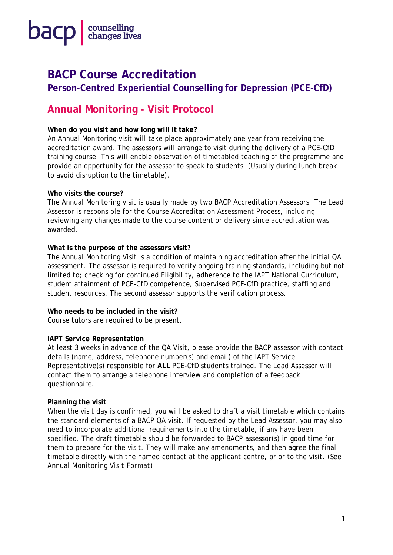

## **BACP Course Accreditation**

**Person-Centred Experiential Counselling for Depression (PCE-CfD)** 

### **Annual Monitoring - Visit Protocol**

#### **When do you visit and how long will it take?**

An Annual Monitoring visit will take place approximately one year from receiving the accreditation award. The assessors will arrange to visit during the delivery of a PCE-CfD training course. This will enable observation of timetabled teaching of the programme and provide an opportunity for the assessor to speak to students. (Usually during lunch break to avoid disruption to the timetable).

#### **Who visits the course?**

The Annual Monitoring visit is usually made by two BACP Accreditation Assessors. The Lead Assessor is responsible for the Course Accreditation Assessment Process, including reviewing any changes made to the course content or delivery since accreditation was awarded.

#### **What is the purpose of the assessors visit?**

The Annual Monitoring Visit is a condition of maintaining accreditation after the initial QA assessment. The assessor is required to verify ongoing training standards, including but not limited to; checking for continued Eligibility, adherence to the IAPT National Curriculum, student attainment of PCE-CfD competence, Supervised PCE-CfD practice, staffing and student resources. The second assessor supports the verification process.

#### **Who needs to be included in the visit?**

Course tutors are required to be present.

#### **IAPT Service Representation**

At least 3 weeks in advance of the QA Visit, please provide the BACP assessor with contact details (name, address, telephone number(s) and email) of the IAPT Service Representative(s) responsible for **ALL** PCE-CfD students trained. The Lead Assessor will contact them to arrange a telephone interview and completion of a feedback questionnaire.

#### **Planning the visit**

When the visit day is confirmed, you will be asked to draft a visit timetable which contains the standard elements of a BACP QA visit. If requested by the Lead Assessor, you may also need to incorporate additional requirements into the timetable, if any have been specified. The draft timetable should be forwarded to BACP assessor(s) in good time for them to prepare for the visit. They will make any amendments, and then agree the final timetable directly with the named contact at the applicant centre, prior to the visit. *(See Annual Monitoring Visit Format)*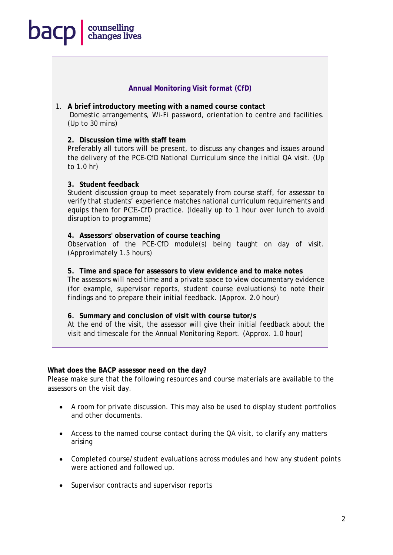## counselling<br>changes lives **bacp**

#### **Annual Monitoring Visit format (CfD)**

1. **A brief introductory meeting with a named course contact** Domestic arrangements, Wi-Fi password, orientation to centre and facilities. (Up to 30 mins)

#### **2. Discussion time with staff team**

Preferably all tutors will be present, to discuss any changes and issues around the delivery of the PCE-CfD National Curriculum since the initial QA visit. (Up to 1.0 hr)

#### **3. Student feedback**

Student discussion group to meet separately from course staff, for assessor to verify that students' experience matches national curriculum requirements and equips them for PCE-CfD practice. (Ideally up to 1 hour over lunch to avoid disruption to programme)

#### **4. Assessors' observation of course teaching**

Observation of the PCE-CfD module(s) being taught on day of visit. (Approximately 1.5 hours)

#### **5. Time and space for assessors to view evidence and to make notes**

The assessors will need time and a private space to view documentary evidence (for example, supervisor reports, student course evaluations) to note their findings and to prepare their initial feedback. (Approx. 2.0 hour)

#### **6. Summary and conclusion of visit with course tutor/s**

At the end of the visit, the assessor will give their initial feedback about the visit and timescale for the Annual Monitoring Report. (Approx. 1.0 hour)

#### **What does the BACP assessor need on the day?**

Please make sure that the following resources and course materials are available to the assessors on the visit day.

- A room for private discussion. This may also be used to display student portfolios and other documents.
- Access to the named course contact during the QA visit, to clarify any matters arising
- Completed course/student evaluations across modules and how any student points were actioned and followed up.
- Supervisor contracts and supervisor reports